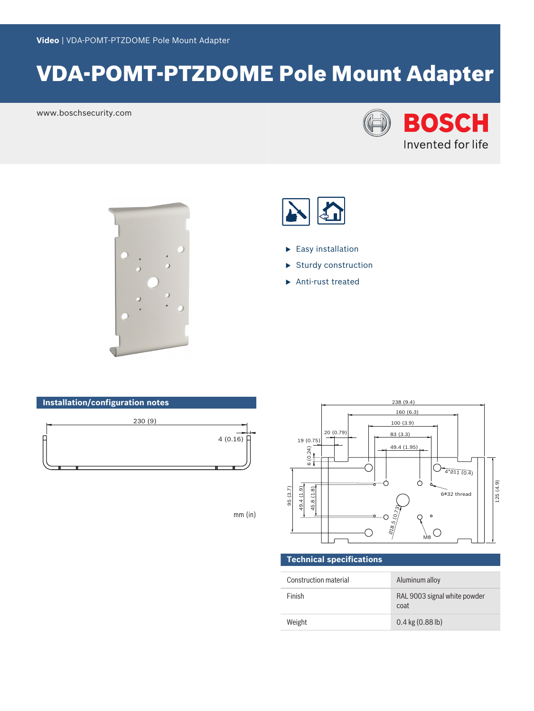# VDA-POMT-PTZDOME Pole Mount Adapter

www.boschsecurity.com







- $\blacktriangleright$  Easy installation
- **Sturdy construction**
- $\blacktriangleright$  Anti-rust treated

# **Installation/configuration notes**



mm (in)



## **Technical specifications**

| Construction material | Aluminum alloy                       |
|-----------------------|--------------------------------------|
| Finish                | RAL 9003 signal white powder<br>coat |
| Weight                | $0.4$ kg $(0.88$ lb)                 |